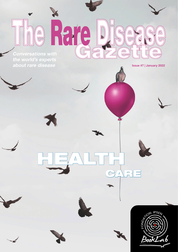Conversations with the world's experts about rare disease Issue #7 | January 2022

 $\blacktriangledown$ 

 $\bigcirc$ 

Rar

 $\blacktriangle$ 

 $\mathbb{G}$ 

 $\bigcirc$ 

 $\frac{1}{\sqrt{2}}$ 

HEALTH



 $\triangle$ 



CARE

 $\overline{a}$ 

 $\overline{\mathbb{Q}}$ 

 $\subset$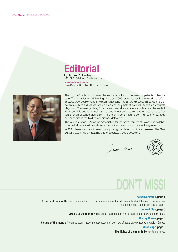# **Editorial** by James A. Levine

MD, PhD, Président, Fondation Ipsen [www.fondation-ipsen.org](http://www.fondation-ipsen.org)

Rare Disease Detection: Rare But Not Alone



The plight of patients with rare diseases is a critical unmet need of patients in healthcare. The statistics are frightening; there are 7000 rare diseases in the world that affect 350,000,000 people. One in eleven Americans has a rare disease. Three-quarters of patients with rare diseases are children and only half of patients receive an accurate diagnosis. The average delay for a patient to receive a diagnosis with a rare disease is 1 1/2 years. It is deeply concerning that one in four patients with a rare disease waits four years for an accurate diagnosis. There is an urgent need to communicate knowledge and expertise in the field of rare disease detection.

The journal Science, (American Association for the Advancement of Science) in collaboration with Fondation Ipsen delivers international science webinars for the general public.

In 2021 these webinars focused on improving the detection of rare diseases. The Rare Disease Gazette is a magazine that broadcasts these discussions.

Tames Levine



# DON'T MISS!

# [The Conversation, page 1](#page-2-0)

Experts of the month: Sean Sanders, PhD, hosts a conversation with world's experts about the role of primary care in detection and diagnosis of rare diseases

# [Journal Club, page 8](#page-9-0)

Article of the month: Value based healthcare for rare diseases: efficiency, efficacy, equity

#### [History Corner, page 8](#page-9-1)

History of the month: Ancient wisdom, modern practices: A brief overview of healthcare practices in Ancient Greece

# [What's up?, page 9](#page-10-0)

**Highlights of the month: Movies to move you**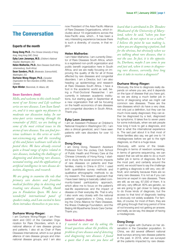# <span id="page-2-0"></span>The Conversation

# Experts of the month

Dong Dong Ph.D. *(The Chinese University of Hong Kong, Hong Kong SAR, China)* Eyby Leon Janampa, M.D. *(Children's National Hospital, Washington, DC)* Helen Malherbe, Ph.D. *(Rare Diseases South Africa, Johannesburg, South Africa)* Sean Sanders, Ph.D. *(Moderator, Science/AAAS, Washington, DC)* Durhane Wong-Rieger, Ph.D. *(Canadian Organization for Rare Disorders (CORD), Ontario, Canada)* Kym Winter *(Rareminds, St. Albans, UK)* 

# Sean Sanders *(host)*:

*Hello, and welcome to this sixth installment of our Science and Life webinar series on rare diseases. I am Sean Sanders, and it is once again my pleasure to moderate our discussion today. In our nine-part series running through the remainder of 2021, we are looking at some of the most critical issues in the arena of rare diseases. You can find previous webinars in this series at webinar.sciencemag.org, and the recording of this and future webinars will also be posted there. We have already covered quite a broad range of topics related to rare diseases, including the challenges of diagnosing and detecting rare diseases, neonatal testing, and the application of artificial intelligence in rare disease detection, diagnosis, and research.*

*We are going to examine the role that primary care doctors and frontline medical facilities play in detecting and treating rare diseases. Finally, thank you to Fondation Ipsen. We have a wonderful international panel of speakers today, and I am excited to have them introduce themselves to you now.* 

# Durhane Wong-Rieger:

I am Durhane Wong-Rieger. I am President and CEO of the Canadian Organization for Rare Disorders, which is a national alliance of rare disease groups and patients. I also sit as Chair of Rare Diseases International, which is our global alliance of rare disease groups and international disease groups, and I am also

now President of the Asia-Pacific Alliance of Rare Diseases Organizations, which includes about 19 organizations across the Asia-Pacific area, which... It has been a very interesting experience because there is such a diversity, of course, in that region.

#### Helen Malherbe:

I am Helen Malherbe. I am currently Director of Rare Diseases South Africa, which is a registered non-profit organization and public benefit organization here in South Africa, and we are really focusing on improving the quality of life for all of those affected by rare diseases and congenital disorders. I am a Director, but I am also heading up epidemiology and research at Rare Diseases South Africa. I have a foot in the academic world as well, being a Post-Doctoral Researcher. I am currently in between academic institutions, but starting again in September at a new organization that will be focusing on the health economics of rare diseases and congenital disorders in South Africa. Thank you.

## Eyby Leon Janampa:

I am an Assistant Professor at Children's National Hospital in Washington DC. I am also a clinical geneticist, and I have seen patients with rare disorders for over 10 years.

# Dong Dong:

I am Dong Dong, Research Assistant Professor from the Jockey Club School of Public Health and Primary Care at the Chinese University of Hong Kong. I started to study the social economic impacts of rare diseases on patients and their families, mainly in China in 2014. I used both quantitative survey methods and qualitative ethnographic methods to do my research. The research approach that I have been taking is basically called community-based participatory approach, which allow me to focus on the patient's real-life experiences and the impact of disease on their everyday life. That is why I also work very closely with the national patients' organizations in China, including the China Alliance for Rare Diseases, the Illness Challenge Foundation, and the Beijing Aili Myasthenia Gravis Care Center. Thank you.

## Sean Sanders *(host)*:

*I wanted to start out by asking the broad questions about the problem, the problem of rare diseases and of detecting and diagnosing rare diseases. I found a quote that I am sure you have all* 

*heard that is attributed to Dr. Theodore Woodward of the University of Maryland, where he said, "when you hear hoofbeats, do not expect to see a zebra." I believe the point he was making is, when you are diagnosing a patient, look for the obvious, but obviously when we are talking about rare diseases, that is not the case. In fact, it is the opposite. So, Durhane, maybe I can come to you and just ask, when it comes to diagnosing rare diseases, currently, how long does it take to receive a diagnosis?*

#### Durhane Wong-Rieger:

Obviously, the time to diagnosis really depends on where you are, and it depends on the type of disease that you have got, so we are doing a much better job in terms of diagnosing what we might call common rare diseases. These are the rare diseases which do have a very clear, not only just a definition, but they can be much more easily diagnosed, they can either be diagnosed by a test, diagnosed by symptoms. It takes five to seven years for some individuals, when we ask people how long it took to get a diagnosis, and that is what the international experience is. The sad part about it is that most of these families also say, we get one to 14 misdiagnoses before we get to the right diagnosis, so that is a huge issue.

Obviously, with some of the breakthroughs in terms of newborn screening, in terms of genome sequencing, we can expect that we will be able to do a much better job in terms of diagnosis. But for the most part, and certainly around the world, we would have to say the challenge in getting a diagnosis is still very, very difficult, and certainly because there are so many rare diseases. It is not as if you can become an expert in rare diseases. There are still, as we say, 67,000 of them. It is still very, very difficult. 80% are genetic, so we are going to get closer to being able to do those kinds of diagnosis, but the access to that kind of diagnostic testing is obviously not widely available. For families, of course, for most of them, they are still going through that long period of time of not knowing and not getting an answer, and really, as we say, the despair of having a misdiagnosis.

# Dong Dong:

I want to agree with Durhane on her observation in the Canadian population. In China, we did several different national level surveys among rare disease patients in the past. In 2018, when we surveyed all the patients impacted by rare diseas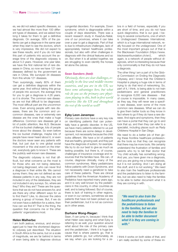es, we did not select specific diseases, so we had almost like more than 100 different types of diseases, and we asked how long it takes for them to get a definitive diagnosis. On average, 58% of the patients can get a diagnose in the same year when they start to see the doctors, which is very impressive. We did not expect to see these results, and if you do not take this part of patients into account the average time of this diagnostic odyssey is about 5.3 years. However, one year later, we have the first national list of rare diseases in China, so now we have 121 rare diseases defined by the government as rare in China. We surveyed 34 diseases from this whole 121 diseases.

Then surprisingly, nearly 80% of them can get a definitive diagnosis within the same year. And without taking this group of people into account, the average time for you to get a diagnose is 4.26 years, so it is shorter. The common rare diseases are not that difficult to be diagnosed. The most difficult part are the uncommon ones. Even among people with rare diseases, there are the common and uncommon diseases, rare or extremely rare disease are the ones that make a huge difference. Common rare diseases get a lot of public attention, like ALS. Because of the ice bucket challenge, lots of people know about the disease. So even before the ice bucket challenge, maybe lots of people have never heard about it, or even the doctors never seen any patients with that, but just due to one global social movement or this viral event on the internet, everybody gets to know it. These are the publicly well-known rare diseases.

The diagnostic odyssey is not that difficult, but what concerns us the most is for those who are not being detected, not being diagnosed, who can never find a diagnose in their entire life. We cannot survey them; they are not defined as rare disease patients in any way, they are not included in any of the databases, they are not included in any surveys. So, where are they? Who they are? These are the questions that we do not have answers for, and are there any other different ways for us to find them? Like, to discover the zebra among a group of horses. But, if we do not even have a definition for a zebra, then how can we find it? That is the thing, the question that concerns me or the other patients' organizations most.

## Helen Malherbe:

I am both jealous, envious, and encouraged just to hear the shortened diagnostic odyssey just described. The situation in South Africa is the same, but on a scale of magnitude, we are far behind in terms of even being able to diagnose obvious congenital disorders. For example, Down syndrome, which is diagnosable within a couple of days elsewhere. There was a recent research study in KwaZulu-Natal, one of our provinces, where it can take over a year to get a diagnosis. Part of that is due to infrastructure challenges, lack of appropriately trained healthcare professionals, but also with other challenges in diagnosis with the clinical features and so on. But when it is all added together, we are struggling to even identify the horses let alone the zebras.

# Sean Sanders *(host)*:

*Obviously, there are clear challenges, especially in the low-and middle-income countries, and you are in the US, we have some advantages here, but what role do you see the primary care physicians playing in this, both in first world countries like the US and throughout the rest of the world as well?*

# Eyby Leon Janampa:

Primary care doctors have a very key role on identifying patients that can potentially have a genetic disorder. In the US, we have many patients referred to us just because there are some delays in development, not necessarily because the child looks different. We have a lot of patients that are healthy, growing well, and they just have the diagnosis of autism, for example. We try to do our best to give as much as testing possible, but there is, of course, challenges of insurance coverage and resources that the families have. We can, of course, diagnose clinically, many of the common syndromes. Many pediatricians follow patients with Down Syndrome, and not necessarily need a geneticist to take care of these patients. There are clinical guidelines that the American Academy of Pediatrics have reported many years ago, and it is very well known by the pediatricians in this country, in other countries as well, and is being followed. But of course, there is lack of training in other regions, or even in our centers, sometimes we see patients that have not been picked up by their pediatrician, but it is not as common as in other areas.

### Durhane Wong-Rieger:

Sean, if can jump in, because I think that what Helen was saying and what Eyby is referring to as well, your question around what about the role of the primary care and the pediatrician, I think it is huge because that is where parents go, that is where patients go, but unfortunately, as we say, when you are looking for a zebra in a field of horses, especially if you are short of time, and you do not have quick diagnostics, that is our goal. I belong to several consortiums, one of which is Undiagnosed Diseases International, which is a huge international network, really focused on the undiagnosed. One of the most important groups out of that is the Blackswan Foundation (https://www. blackswanfoundation.ch/en/), which again, is a network of people without diagnosis, which is interesting because their only commonality is that they do not have a diagnosis.

The other thing I am a part of is the Global Commission on Ending the Diagnostic Odyssey, and I know that the Children's Hospital is playing a huge role in terms of trying to do that kind of networking. So, part of it, I think, is being able to not train pediatricians and general practitioners to recognize 6,000 rare diseases - that of course is impossible. In many cases, as they say, they will never see a specific rare disease, even some of the more common rare diseases. What we can do is give them better tools so they know in fact where to go if they do have a rare disease. And signs and symptoms, then they can have a portal that they can go to and look that up, and then they can refer to a specialist, including places such as Rady Childrens Hospital in San Diego.

We need to do a better job of then giving these frontline healthcare professionals the tools so that they can recognize that there may be more tools. We certainly understand the frustration of families and parents who try to tell their doctor that "my child actually has something wrong. And yes, you have given me a diagnosis, and you are giving me a horse diagnosis, but it is not working. And I am doing all this stuff, and it is not working." We need to also train the healthcare professionals and the pediatricians to listen to the families, but we also need to help the families to be able to better document what it is they are coming in with.

*"We need to also train the healthcare professionals and the pediatricians to listen to the families, but we also need to help the families to be able to better document what it is they are coming in with."*

I think it works on both sides of that, and I am really excited by some of these ini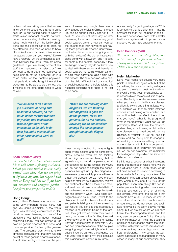tiatives that are taking place that involve fancy genomic sequence that do a great deal for us but getting back to where it starts is also important: parents, patients, better understanding, better articulating. What I really want from the family physicians and the pediatrician is to listen, to pay attention, and then we need to have places like Eyby's, that says, "okay, we are not getting there, can you help us? Do we have a referral?" Or, the Undiagnosed Disease Network that says, "here are some guidelines. If you are seeing some of this stuff, then maybe you can refer to us." We do need to do a better job ourselves of being able to set up a network, so it is much better for that frontline physician, that pediatrician who is right there at the crosshairs, to be able to do their job, but it means all the other parts need to work as well.

*"We do need to do a better job ourselves of being able to set up a network, so it is much better for that frontline physician, that pediatrician who is right there at the crosshairs, to be able to do their job, but it means all the other parts need to work as well"*

# Sean Sanders *(host)*:

*The next part of the topic which I would like to talk about, is finding a solution. I think you have touched on some really critical issues there that we are going to definitely dig into, but maybe I will turn to Dong and just see if you have any comments and thoughts, particularly from your perspective in Asia.*

# Dong Dong:

Yeah, I think Durhane was touching on some very important topics here.I will give you some examples. A few years ago, I was attending a conference in China about rare diseases, so one of the presenters was talking about neonatal screening panels. You can screen 30 or even 40 genetic diseases all at once, and these are provided for free by the government. The presenter was trying to show off these achievements, that now we can detect all these genetic disorders at once. It is efficient, and good news for the parents. However, surprisingly, there was a very famous geneticist in China, he stood up, and he spoke critically against it. He said, "if you do not have any counter measures, if you do not have a very good social support system, how can you tell the parents that their newborns are having these genetic disorders?" Can you expect what these parents are going to do with the newborn? You do not have a very close bond with a newborn, and it is easy for some of the parents, especially if they are living in poverty, they do not know how to deal with these issues, and there is no social support, no social welfare system to help these parents to raise a child with this disease. The easy decision is to abandon the child. Without having any ethical or social considerations before taking this neonatal screening test, there is no test to be done.

*"When we are thinking about diagnosis, we are thinking that diagnosis is good for all the parents, for all the patients, for all the families. However, we do not consider enough the consequences brought up by this diagnosis."*

I was hugely shocked, but was enlightened by his insights and his perspective, simply because when we are thinking about diagnosis, we are thinking that diagnosis is good for all the parents, for all the patients, for all the families. However, we do not consider enough the consequences brought up by this diagnosis are we ready, are we fully prepared to embrace this disease, do we have enough solutions after we get a diagnosis, can we find treatment for them if there is no medical treatment, do we have rehabilitation? Do we have other ways to help this family and this patient? When I was doing ethnographic studies in China, I went to the clinics and tried to observe the doctors and patients talking about their screening test results, you can see that everybody's reaction is so different. Some of the families, they got excited when they have a result, but some of the families, they just broke down when they know the results. They do not know how to deal with it, you can see, you can tell some of the couples are going to get divorced right after it, because if you are carrying a bad gene, I do not want you to have my child because this is going to be carried in my family.

Are we ready for getting a diagnosis? This is something that is a dilemma. I have no answers for that, but perhaps in the future, with better social care, with a better healthcare system with improved social support, we can have answers for that.

### Sean Sanders *(host)*:

*This is a very interesting topic, and it has come up in previous webinars. Clearly there is some controversy there. Helen, I will come to you now.*

# Helen Malherbe:

Dong, you mentioned several very good points in there that I agree with, but at the same time, the power of having a diagnosis, even if there is no treatment available, or even if there is treatment available, but it is inaccessible in the context, it is so powerful. The family is under immense stress when you have a child with a rare disease, and just knowing one thing, at least what it is, enables you then to make informed choices about having other children. Is it a condition that could affect other children that you have? What is the prognosis? What is the treatment? What can you do practically? Because I think the most important thing about having a child with a rare disease, or a loved one with a rare disease, or yourself, is just not being in control and not being able to change it. At least if you know something, you can come to terms with it. Many people with rare diseases, or children with rare diseases, we do not celebrate, we remember those diagnosis days which are important dates on our calendar.

I think just a couple of other interesting points that have been raised here, we are in a situation here in South Africa, we do not have access to newborn screening. It is not available for many only a few of the population that can access private health care, which is only about 15-16% of the population. Even then, things like non-invasive prenatal testing, which is a screening that you can do for a lot of things like Down's Syndrome and so on, is not available here at all. So many of what is run-of-the-mill or standard practice in other countries, we do not even have available here yet, so the technology is moving along, but we are still where we are now. I think the other important issue, and this may also be an issue in China, Dong, is the whole matter of myths, the traditional beliefs in society and the stigma that is associated with patients with rare diseases, so whether they have a diagnosis or not, I can understand, in my context as well, where babies do get abandoned. In many cases in many of our communities, they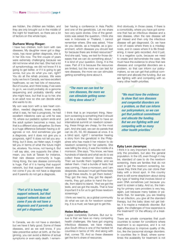are hidden, the children are hidden, and they are only brought out in the middle of the night for treatment, so there are a lot of factors on this whole topic.

# Durhane Wong-Rieger:

I have two children, both born with rare diseases. My daughter never got a diagnosis, has never gotten diagnosis, she is in her 30s now. The first couple of years were extremely challenging because we did not know what she had. She had a lot of symptomology, we did not know if it is going to get better, or if it is going to get worse, but you do what you can, right? You do all the rehab process. We were lucky we live in Canada, we have excellent healthcare, so we had lots of resources. But of course, and I think today, if we were to go in, we could probably do a genome sequencing and probably identify what she might have, but that is up to her, she is an adult now so she can decide what she wants to do.

My son was born with a rare heart condition, needed diagnosis, knew exactly what it was, he had a prognosis, he had excellent milestone care up until he was 18, where our pediatric system ends and the adult system becomes a mess, but that is a different story altogether. So there is a huge difference between having a diagnosis or not. And sometimes you get a diagnosis, and it does not give you a prognosis, right? It does not tell you anything, but it does, as Helen says, it might tell you in terms of what the future might be, etcetera. You know, not having it. But I will say also, one supports the other. I mean, you look at Taiwan for instance, their rare disease community is huge. Hong Kong, the rare disease community is huge. Part of it is having that support network, but that support network does not come if you do not have a diagnosis and if parents do not get a diagnosis.

*"Part of it is having that support network, but that support network does not come if you do not have a diagnosis and if parents do not get a diagnosis."*

In Canada, we do not have a standard, but we have it fairly good. Some of these diseases, and as we well know, if you take preventive action at birth, at the beginning, you can avoid a lifetime of actual symptoms or even early death. I remember having a conference in Asia Pacific and one of the geneticists. Let me share two very quick stories. One of the geneticists was asked the question, I think she was in Indonesia or Thailand, I cannot remember where. She was asked, "How do you decide, as a hospital, as a government, which diseases you should test for because there are limited resources?" And she said, "easy, we test for those diseases that we can do something about." It is kind of your question, Dong. It is the case. Part of it is because the resources are limited, but the more we can test for rare diseases, the more we can stimulate getting something done about it.

*"The more we can test for rare diseases, the more we can stimulate getting something done about it."*

I think that is an important thing. Newborn screening is something that it should just be a standard. We need to have an international summit on newborn screening, these things are cheap, for the most part. And she said, we can do panels that can do 25, 50, 60 diseases at once. It is a blind spot, right? I remember hearing a story from the geneticist in the Philippines who has made it her mission to do newborn screening for her patients. She was telling the story, it was the middle of a monsoon. She says, "You know, we have hundreds of islands and what we do is we collect these newborns' blood smears. Then we bundle them together, and we deliver them. I had a bundle of tests that was coming, I have a monsoon, and I am desperate, because I must get these tests to get these results, to get them tested." They got the navy, they got fire departments, they got police to hand the bundle, from island to island. "And we got the tests, and we got the results. That is how important it is for us to get those newborn screenings."

I think we need to, as a global community do what we can do for newborn screening. It is a must; we have got to get this.

# Helen Malherbe:

I agree completely Durhane. But our issue is that we have so many competing health challenges. We have got ongoing infectious diseases, we have malaria, plus South Africa is one of the hardest hit countries in terms of HIV. And along with that, comes TB. And so these diseases get the lion's share of resources.

And obviously, in those cases, if there is a comorbidity, where you have got someone that has an infectious disease and a rare disease, often the rare disease will get missed and then only the infectious disease will get diagnosed. Or, we have a lot of cases where there is a misdiagnosis, and in cases where it is life threatening, it never gets recorded. And it just, it is a negative cycle, because we need to create and demonstrate the case. We must have the evidence to show that rare diseases and congenital disorders are a problem, so that can inform our policymakers, so we can get that political commitment and allocate the funding. But we are fighting with and competing with so many other health priorities.

*"We must have the evidence to show that rare diseases and congenital disorders are a problem, so that can inform our policymakers, so we can get that political commitment and allocate the funding. But we are fighting with and competing with so many other health priorities."*

# Eyby Leon Janampa:

I think it is very important to educate not only the providers, but also the general population. In the US, even though it may be, standard of care to do the newborn screening, there are families that do not want to get the newborn screening, because they think that you can clone their baby with a blood spot. In this country there is still some skepticism about doing any type of testing that involves blood or even DNA sometimes just because you want to screen a baby. And so, the training for primary care providers is very key, again, just because many babies or patients that, for example, you are treating for an infection, you give all the standard therapy, but the baby does not get better, it is maybe a metabolic disorder. But again, the challenges of how expensive is the treatment? Or the efficacy of a treatment.

There are private companies that push countries to screen for conditions where treatment is so expensive, and it is not that efficacious to improve quality of life, too, like the lysosomal storage disorders. In countries like in Brazil, where sometimes the availability for treatment is not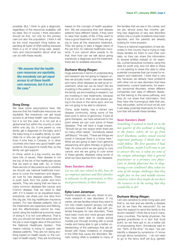possible. But, I think to give a diagnosis, regardless of the resources available, will be ideal. But of course, I think education should be first, not only for the primary care but also the population. I think it will be the most important thing before expanding all types of DNA testing because there is a lot of what Dong said, skepticism and misconception about what we can do with these results.

*"We assume that the healthcare resources are equitable, like everybody can get equal access to all these health care resources, but it is not the case."*

# Dong Dong:

We have some assumptions here. We assume that the healthcare resources are equitable, like everybody can get equal access to all these health care resources, but it is not the case. It is not just at a global level but within the country or even within one city. So, if one parent or, one family, get a diagnosis on the baby, and if the baby living in a wealthy family, so definitely he or she can get enough support. Even if s/he lives in Canada, or in other countries who have very good health care systems, the support is mostly free, so the family can get support.

In China, which is a big country, we also have lots of issues. Rare disease is not the top of the list of the healthcare issues that we want to deal with. So, in China there are lots of discussions as to whether we should use national healthcare insurance to cover the treatment and diagnosis cost for rare disease patients. There is push back from the public and from experts. They are saying that we have so many common diseases like cancer, and Crohn's disease, that we need to deal with. If it is based on an equalized basis, everybody can share just one slice from this big pie, this big healthcare insurance system. For rare disease patients, lots of the treatments are expensive and lifelong, and the effectiveness cannot be measured using the traditional economic ways of doing it. It is not cost-effective. That is why you should not take the same slice of the pie or even bigger slice of the pie from the National Healthcare System. That means nobody is trying to support rare disease patients. They are not doing anything based on health equity or, the concept of health equity. They are functioning based on the concept of health equalization. We are proposing that rare disease patients have different needs, if they want to raise their quality of life, if they want to have a good treatment, and if they are going to have all this expensive treatment. They are going to take a bigger piece of the pie from tis national healthcare insurance. If you cannot allow people to do that, then how can we talk about giving everybody a diagnosis and the treatment, there are no available resources.

# Durhane Wong-Rieger:

Huge advances in terms of understanding and research are not going to happen unless we actually invest. I see rare diseases and many other diseases as well as an investment, what can we do here? We are investing in the patient, we are investing in the family, we are investing in research, we are investing in new treatments, because if we do not do it, then we are always going to be stuck in the same spot, and we are not going to be able to advance.

China, quite frankly, has a vibrant rare disease community, doing some of the best work in terms of genomics. If look at gene therapies, we have advanced to the point where we can cure some of these diseases. That will have a huge impact. "Should we go into space when there are so many other needs," Somebody asked Jeff Bezos." He said, "These are things we invest in because there is a future here." What we are going to learn from genome sequencing and gene therapy is going to help. At some point we are going to cure cancer, and we are going to cure some of these genetic diseases using some of what we have learned from rare diseases.

# Sean Sanders *(host)*:

*Let me ask, just related to this, how do we empower patients and their families to advocate: to the government, to their local government, to their doctors.* 

# Eyby Leon Janampa:

Parents especially, are very driven to promote research in rare disorders. In my center, we see families where they want to not only create support groups, but also promote research that will deal with potential therapies for rare disorders. There have been more and more groups where they have been able to create animal models just through funding with a social media and being able to get a better understanding of the pathways that are affected with these mutations or changes in the DNA that cause the disorders. Benetic testing ofteb is available to many of the families that we see in the center, and we are, almost every few months, getting new diagnosis of very rare disorders where only a couple of patients have been reported, and the parents are already looking for more answers.

There is a national organization of rare disorders in this country that is trying to help these families for them to own their own data, so they can share this information to several entities instead of, for example, a pharmaceutical company using this data for profit only, and not able to share or not wanting to share this data to other potential companies that can invest for research and treatment. I think that is very key because we already have problems with other not so rare disorders that have treatments, current treatments, for example, lysosomal disorders, where different companies own data of different diseases that belong to the same pathway, and they do not share that information. And they have this humongous data that yes, they will publish, some of it but not all, and it will delay potential treatments for the future that will benefit these families.

# Sean Sanders *(host)*:

*Something I wanted to touch on in the last quarter of this webinar is looking to the future, where do we go from here? Durhane, earlier, raised several important pathways I think that we could follow. The first question I had, and Durhane, maybe I will come to you to answer this one, is what are some of the unique advantages that a general practitioner or a primary care physician, or family physician has in diagnosing a rare condition? Also, what are some of the unique challenges that they might face in low and middle-income countries where they maybe do not have the resources to do the testing that they would like to do?*

# Durhane Wong-Rieger:

I am very sensitive to what Dong said, and that is, we test and we identify a disease but do we have the resources? Do we have the support to send this family to the doctor needed? I think this is true in many, many countries. The family physician, the general practitioner is in fact that focal point, so we have got to do a better job of empowering them. Somebody said to me, "90% of the time," he says, "we can identify a disease by symptoms- if I know enough about symptoms, . I do not need to go to the fancy stuff yet [e.g. genetic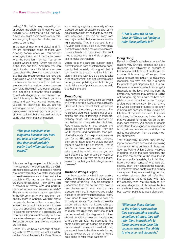testing]." So that is very interesting but of course, the challenge is, can we really explain 6,000 diseases to a GP and say, "Okay, you might come across one of this. You are going to spin the rolodex, and it is going to come up."

In the age of internet and digital, and AI, we are developing some of these very amazing portals where you can actually enter symptoms, and it begins to guess what the condition might be. You get to a point where it says, "Okay, we think it is this, this, and this." And then, you can begin to also do a little bit of your own research and be able then make a referral. But that also presumes that you have got a physician who not only cares, but has the time and the resources to do that. Not everybody is in a position where they can say, "okay, I have got hundreds of patients, and I am going to take the time it requires to actually diagnose a rare disease patient." It is easy for the families to get frustrated and say, "you are not hearing me, you are not listening to me, you are not following up on me." The poor physician is beleaguered because they have got tons of other patients that they could probably easily treat within that same period.

*"The poor physician is beleaguered because they have got tons of other patients that they could probably easily treat within that same period."*

It is also getting people the right tools. I think we need more centers like the Children's Hospital where it becomes a referral site, and where they are better resourced to take these referrals and they can be the specialists. We have a new thing that we are trying to talk about - how do we train a network of maybe GPs and pediatricians to become rare disease specialists? The same as we have cancer specialists in the GP community. We have them especially more in Canada. We think about people who live in northern communities; where they do not have access to centers, and specialists, can we train you up to become somewhat of a specialist? We then can link you, electronically, to a major center where you can get the support. European centers or reference networks are like that.

Under RDI, we have a concept of creating with the WHO what we call a Collaborative Global Network for Rare Diseases - creating a global community of rare disease centers of excellence and being able to network them so that they can service resources. If you are far away from any major center, that you can access the right specialist. That is a big goal. It is a 10-year goal, it could be a 20-year goal, but that to me, that is the way we can empower a family and physician on the front lines to access the right kinds of specialists to make that happen.

Where does the care and support come from? It comes from an international community that hopefully, with a great deal of technology, people can tap into. It is a vision, it is a long way out, it is going to take a lot of resourcing, and not just from each country's own public system but it is going to take a lot of private support as well, but that is the goal.

# Dong Dong:

I agree with everything you said but I want to play the devil's advocate here a little bit. Because I really do not think we should overburden the primary care system. Rare-disease diagnosis requires lots of specialties and lots of trainings in multi-disciplinary areas. Many rare diseases do not belong to one particular discipline. Rare disease patients need doctors and specialists from different areas. They can work together and coordinate, then provide a diagnosis. For the primary care system, for the GPs and the family medicine, they do not have, and we should not ask them to have this kind of training. That is not fair for them because their job is to take care of the public. How can you ask tese doctors to spend years of years of training feeling like they are failing themselves for not being able to diagnose rare diseases?

# Durhane Wong-Rieger:

It is the opposite of what I was saving. Dong, and that is, they do not do the years and years of training. They do enough to understand that the patient may have a rare disease and in what area that rare disease might be. If I can give you easier access to the information that says, "okay, now I need to refer you over to here," or to multiple centers. The goal is to take the burden off the front line. I agree with you totally, it is not up to the primary doctor to reach that diagnosis. They should not be burdened with the diagnosis, but they should be able to know and have places where they can refer the patients to, the same as they can do a deep diagnosis of cancer. We do not expect them to do that, we expect them to be able to refer it over. So that is what we do not have, is "Where am I going to refer these patients to?"

*"That is what we do not have, is "Where am I going to refer these patients to?"*

# Dong Dong:

Based on China's experience, one of the reasons why Chinese patients can get a diagnosis very efficiently is because of this uneven distribution of healthcare resources. It is amazing. When you think about uneven distribution of healthcare resources, we may think this is a barrier for people to get diagnosis, but, it is not. Because whenever a patient cannot get a diagnosis at the local level, like from the community hospital, they just fly to Beijing or Shanghai, big cities, with the best hospitals in the country, then boom! They get a diagnosis immediately. So that is why the whole diagnostic journey is so short in China just because of this uneven distribution of medical resources. It sounds ridiculous, but in a sense, it also tells us that we should not totally rely on the primary care system. We should let people understand that diagnosis of rare disease is not just one person's responsibility. It requires lots of support from the entire medical community.

That is also why, in China, they are trying to do teleconferences and teletraining courses centering on these big hospitals. Such as Peking Union College Hospitals in Beijing, one of the best hospitals, and they train the doctors at the local level in the community hospitals, try to let them have a common sense of what rare disease is. Then, they establish this network, so whenever those doctors at the primary care system they see something peculiar, something strange, they will refer them immediately to those doctors who have this capacity, who has this ability to give a correct diagnosis. I truly believe this is a more efficient way, and this is one of the best way for patients to get a diagnosis.

*"Whenever those doctors at the primary care system they see something peculiar, something strange, they will refer them immediately to those doctors who have this capacity, who has this ability to give a correct diagnosis."*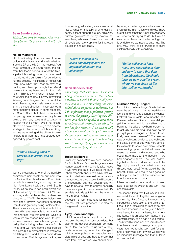# Sean Sanders *(host)*:

*Helen, I am very interested to hear your thoughts on the position in South Africa.*

# Helen Malherbe:

I think, ultimately, it comes down to education and advocacy at all levels, whether it be the GP or the MD in the hospital. You must remember, in South Africa, the primary healthcare setting, a lot of the time, a patient is seeing nurses, so you need to build up the curriculum for genetics at nursing college. The first line of nurses will then know when they need to refer to a doctor, and then up through the referral network that we have here in South Africa. I think knowing when to refer to is so crucial and so key. It is very interesting listening to colleagues from around the world because, obviously, every country is in a unique situation. I have painted a rather negative picture, in some respects, for South Africa, but there is so much happening here because advocacy is ongoing at so many levels and education is happening at so many levels. For example, we are now developing a rare disease strategy for the country, which is exciting, and we are involving all the different stakeholders and then have that strategy recognized by government.

# *"I think knowing when to refer to is so crucial and so key."*

We are presenting at one of the portfolio committees next week on our input into the National Health Initiative in South Africa, which is essentially a funding mechanism for universal healthcare here in South Africa. Of course, it has been blown out of the water by the required COVID response, and so all the funding has been reallocated to COVID. But nevertheless, we have got a universal healthcare approach there that is gradually being implemented. There is resistance, yes, it is slow, but it is there. We have been able to comment on that and feed into that process, which is where we are headed next week to government. We also have a human genetics policy that is being revised here in South Africa and we have some great policies and laws, but implementation is where we are falling short, and it does come down to resources. That brings me back again

to advocacy, education, awareness at all levels, whether it is talking amongst patients, patient support groups, clinicians, nurses, government, policy makers, researchers, whoever. There is a need at all levels and every sphere for improved education and advocacy.

*"There is a need at all levels and every sphere for improved education and advocacy."*

# Sean Sanders *(host)*:

*Something that both you, Helen and Dong, also touched on is this hidden population, which I think is really critical, and it is not something we have talked about in previous webinars, but I think finding that population, getting to them, diagnosing, detecting rare diseases, and then being able to treat them is really critical. With that in mind, for the last few minutes, I wanted to talk about what needs to change in the next decade or two. This is a marathon, it is not a sprint, it is going to take a long time to change things, so what do we need to move things forward?* 

#### Helen Malherbe:

From my perspective we need evidence for South Africa. Our health system is evidence-based, and it will only take notice if we have the data; if we have the published research and, if we have that expert knowledge from rare disease patients themselves, As a collective, it will become a cacophony but the government will have to have to listen to and will hopefully make an impact in the same way that HIV activists actually got HIV on the agenda here in South Africa.

education is very important for not only the medical care providers, but also for the general population.

#### Eyby Leon Janampa:

I think education is very important for not only the medical care providers, but also for the general population. So many times, families come to us with a diagnosis because they found it on Google. I think a better policy is to have rules, very clear rules of data and how to share that data from laboratories. We should have, by now, a better system where we can share all the information worldwide. There are little steps that the American Academy of Genetics are trying to do, but we are way behind based on the technology that is available, so we need to catch up. The only way, I think, to go forward is to share it internationally with everybody.

*"Better policy is to have rules, very clear rules of data and how to share that data from laboratories. We should have, by now, a better system where we can share all the information worldwide."*

#### Durhane Wong-Rieger:

I will pick up on two things. One is that we need the evidence. I think we need the evidence, and we need economic evidence. I asked Samuel Wiafe, who runs the Rare Disease Initiative, Ghana, "How did you get the government to pay attention, to begin to introduce newborn screening, to actually have training, and how do did you get your colleagues on board to actually treat rare diseases?" The answer was by collecting evidence and collecting the data. Some of that was very simple, for example to show how many patients were ending up in hospital with rare diseases that were not diagnosed, and who could have avoided the hospital if we had diagnosed them. That was collecting that evidence. It does not have to be big, high-powered data. What does rare disease care cost? What would be the benefit? I think we need to do a good job of being able to collect the evidence and turn it into economic data.

I think we need to do a good job of being able to collect the evidence and turn it into economic data.

The second thing that I will say is I think we need to work together as a global community. Rare Disease International is introducing a resolution at the United Nations. It is a resolution to recognize rare diseases because it is not just a healthcare issue; it is a social issue, it is an equity issue, it is an education issue, it is a women's issue, and it has a huge impact. The United Nations included rare diseases in universal health coverage a couple of years ago, we fought very hard for that, and it really was part of what we felt was an important message and that is, leave no one behind.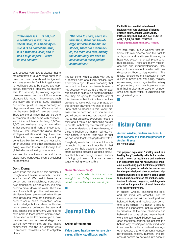*"Rare diseases … is not just a healthcare issue; it is a social issue, it is an equity issue, it is an education issue, it is a women's issue, and it has a huge impact….leave no one behind."*

Just because you have a disease that is representative of a very small number, it does not mean you should be ignored. You have as much of a right to get access to healthcare and to be treated and supported, familywise, etcetera, as anybody else. But secondly, by working together, there are many common solutions for rare diseases. It is not as if I have to take each and every one of these 6,000 diseases and come up with a unique pathway for diagnosis and treatment. We know that is not the case. 80% of them are genetic. There are lots of things that can be done in common. It is the same with cancers we think about them collectively, 6,000 or 7,000, and we have many commonalities in that strategy and many of those strategies will work across the globe. These strategies will also work only if we take global action. I am very excited about opportunities like this where you hear what other countries and other specialists are doing. We need to continue to forge that global alliance in looking for solutions.

We need to have transborder and transdisciplinary, transracial, even transglobal collaborations.

# Dong Dong:

When I was thinking about this question, I thought about several keywords. The first word is "trans". We need to have transborder and transdisciplinary, transracial, even transglobal collaborations. We also need to break down the walls. There are lots of walls built up in the past few years at different levels, so we need to tear those walls down and try to get connected. We need to share; share information, share our knowledge, but also share our life stories, share our experiences, the tears and loss, among the community. We need to have belief in these patient communities. I have seen in the last several years, how creative they can be, how strategic they can be, how vibrant they can be. Patient communities can find out different ways to empower themselves and to enlighten others.

*"We need to share; share information, share our knowledge, but also share our life stories, share our experiences, the tears and loss, among the community. We need to have belief in these patient communities."*

The last thing I want to share with you is a doctor's note about rare disease from a few years ago. He was proposing that we should not say the disease is rare or not because when we are trying to label rare diseases as rare, no doctors will think that they are going to encounter any of this disease in their lifetime because they are rare, so we should not emphasize on this concept anymore. We shall let people know that no disease is rare, every disease can be common, and you are and you will encounter these rare cases in your life, so get prepared. Everybody needs to think about there is no such thing as rare in our life. In that way, we can help people to better understand all these diseases, all these difficulties that human beings, human society is facing right now, so that we can work together trying to deal with it. Everybody needs to think about there is no such thing as rare in our life. In that way, we can help people to better understand all these diseases, all these difficulties that human beings, human society is facing right now, so that we can work together trying to deal with it.

### Sean Sanders *(host)*:

*If you would like to send us your thoughts on today's webinar, please email webinar@aaas.org. Thank you.*

# <span id="page-9-0"></span>Journal Club

# Article of the month

Value based healthcare for rare diseases: efficiency, efficacy, equity.

Fantini B, Vaccaro CM. Value based healthcare for rare diseases: efficiency, efficacy, equity. Ann Ist Super Sanita. 2019 Jul-Sep;55(3):251-257. doi: 10.4415/ ANN\_19\_03\_10. PMID: 31553319. https://pubmed.ncbi.nlm.nih.gov/31553319/

We here today in our webinar that patients with rare disease have the right to a diagnosis and healthcare. However, the healthcare system is not well prepared for rare diseases. There are many misconceptions and misunderstandings. Also, many doctors are not familiar with rare diseases and how to diagnose them. This article, "underlines the necessity of new culture of health and well-being, radically re-examining how to organise the delivery of prevention, and healthcare services, and finding alternative ways of empowering and giving voice to vulnerable and marginalised groups."

# <span id="page-9-1"></span>History Corner

Ancient wisdom, modern practices: A brief overview of healthcare practices in Ancient Greece by Florian Delval

The popular expression "healthy mind in a healthy body" perfectly reflects the ancient Greeks' views on healthcare and medicine. For Hippocrates and his Kos School of Medicine, establishing good healthcare practices was a focal point for which the master and his disciples designed clear procedures. Hippocrates was the first to apply a global vision to medicine, focusing on the method, examination, treatment, prognosis, and diagnosis, as well as the promotion of what he considered healthy behaviours.

In ancient Greece, balancing the body and the mind was essential. For the Greeks, a person with a developed and balanced body and intellect was someone to be valued. This notion is also reflected in Hippocrates' natural approach to diseases. At the time, physicians also believed that physical and mental health were interconnected. Hippocrates was indeed the first to consider his patients in a holistic way, focusing on body, mind, spirit, and emotions. He considered, amongst other factors, that environmental causes, psychological factors, nutrition, and lifestyle all needed to be taken into account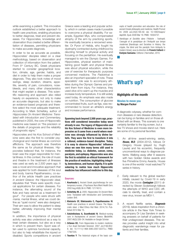while examining a patient. This innovative outlook established a better approach to health care practices, enabling physicians to better diagnose, treat and prevent diseases. For Hippocrates, knowledge and observation thus created a better differentiation of diseases, permitting physicians to make accurate diagnosis.

In order to be as accurate as possible, Hippocrates' disciples relied on a clear methodology, based on observation and collection of information from the patient. From 5<sup>th</sup> Century BC, Greek physicians started to consider geographical location, climate, age, gender, habits, and diet in order to help them make a proper diagnosis. They also took notes of mood swings, sleep duration, dreams, appetite, severity of pain, convulsions, nosebleeds, and many other characteristics that might explain a disease. This scientific reasoning and approach also relied heavily on experience, not only to make an accurate diagnosis, but also to make an evidence-based prognosis and therefore select the most adequate treatment. According to Mark Schiefsky, author of Hippocrates On Ancient Medicine: Translated with Introduction and Commentary, published in 2005, the core of Hippocratic medicine was based on "the precision or the details of prognosis and the reliability of prognostic signs."

Hippocrates and his Kos School of Medicine were also the first to consider psychological and mental illness as common afflictions. The approach was therefore the same as for physical illnesses. Hippocrates believed that, for instance, the brain was the organ responsible for mental illness. In this context, the role of music and theatre in the treatment of illnesses was used as early as 2,500 years ago. It was a novel and innovative approach that was applied for both diseases of the soul and body. Ioanna Papathanasiou, co-author of the article Health care practices in ancient Greece: the Hippocratic ideal, stipulates that "there were specific musical applications for certain diseases. For instance, the alternating sound of the flute and harp served as a treatment for gout". For people who were struck with mania, mental illness, what we could define as "quiet rooms" were also designed. Their aim was to allow the patient to sleep better, ultimately improving their mental health.

In addition, the importance of physical activity was also understood as a way to treat certain diseases, but also as a way in which to prevent them. Sport was often used to optimize functional capacity, but also to help rehabilitate the injured or disabled. Sports competitions in ancient

Greece were a leading and popular activity, which in certain cases made it possible to overcome a physical disability. For example, Egyptian Mys, who compensated atrophy of the arm by practicing sports. He eventually became a renowned wrestler. Or Pyron of Helida, who fought his dystrophy contracted during childhood by devoting himself to physical activity and focusing on the pentathlon. He eventually managed to win the Olympic Games. For Hippocrates, physical exertion of maintaining good health and physical fitness was about physical education, while the use of exercise for therapeutic purposes concerned medicine. The Paidotrivai is also an important specialist of note. These specialists' role was to accompany athletes during the Olympic Games and prevent them from injury. For instance, they used olive oil to warm up the muscles and increase body temperature. It is still widely used today. An emphasis was also made on nutrition. The consumption of glucose concentrated fruits, such as figs, was recommended to boost an athlete's energy and increase performance.

Spanning back beyond 2,500 years ago, practices still considered innovative today were already in use. The legacy of Hippocrates and his Kos School of Medicine is even more impressive as it came from a world where medicine was strongly influenced by divine beliefs. They were the first to transform it into a rational, evidence-based discipline. Today, it is easy to observe Hippocrates' influence since we owe him many terms still used in medicine today, i.e. diabetes, cancer, coma, paralysis, and epilepsy. Hippocrates was also the first to establish an ethical framework for the practice of medicine, highlighting integrity, benevolence, and human dignity. It is quite sobering to realize how much Hippocratic medicine has influenced medicine to this day.

#### Sources:

- 1. Kourkouta L. Ancient Greek psychotherapy for contemporary nurses. J Psychosoc Nurs Ment Health Serv. 2002 Aug;40(8):36-9. PMID: 12174513.
- 2. Schiefsky M. J. 2005. Hippocrates On Ancient Medicine: Translated with Introduction and Commentary. Leiden: Brill.
- 3. Kleisiaris CF, Sfakianakis C, Papathanasiou IV. Health care practices in ancient Greece: The Hippocratic ideal. J Med Ethics Hist Med. 2014;7:6. Published 2014 Mar 15.
- 4. Xatzinikolaou A, Scanthalaki N. Medical-nursing care in Asclepieions of ancient Greece. osileftiki. 2007;46(3):326–34. Available on Google Scholar
- 5. Orfanos CE. From Hippocrates to modern medicine. J Eur Acad Dermatol Venereol. 2007 Jul;21(6):852- 8. doi: 10.1111/j.1468-3083.2007.02273.x. PMID: 17567335.
- 6. Tountas Y. The historical origins of the basic con-

cepts of health promotion and education: the role of ancient Greek philosophy and medicine. Health Promot Int. 2009 Jun;24(2):185-92. doi: 10.1093/heapro/ dap006. Epub 2009 Mar 19. PMID: 19304737.

7. *Handicaps et Sociétés dans l'Histoire : l'estropié, l'aveugle et le paralytique de l'Antiquité aux temps modernes* [Handicaps and Societies in History: the cripple, the blind and the paralytic from Antiquity to modern times], sous la direction de Franck Collard et Evelyne Samama. Editions L'Harmattan, 2010.

# <span id="page-10-0"></span>What's up?

# Highlights of the month

# Movies to move you by Morgan Packer

A diagnostic odyssey, whether for common diseases or rare disease detection, can be trying on families and on those afflicted with an illness. This scenario is one certainly familiar to the big screen, but a few TV shows and movies stand out. Here are some of my personal favorites:

- 1. An all-time award-winning series, *House, M.D*. (2004-2012), follows Dr Gregory House (played by Hugh Laurie) and his eccentric, frequently unconventional ways to diagnose patients. Walking away after 8 seasons with two Golden Globe awards and five Primetime Emmy Awards, House is one of the worlds' most watched TV series in history.
- 2. Eerily relevant to the global reaction initially caused by Covid-19 in early 2020, the movie *Contagion* (2011) directed by Steven Soderbergh follows the attempts of WHO and CDC officials to identify, treat, and contain a new virus, known as MEV-1.
- 3. A recent Netflix series, *Diagnosis* (2019), takes inspiration from a chronicle article in the New York Times to accompany Dr Lisa Sanders in seeking answers on behalf of patients for their undiagnosed diseases. This series provides useful insight into what diagnostic wanderings mean for patients and their families.